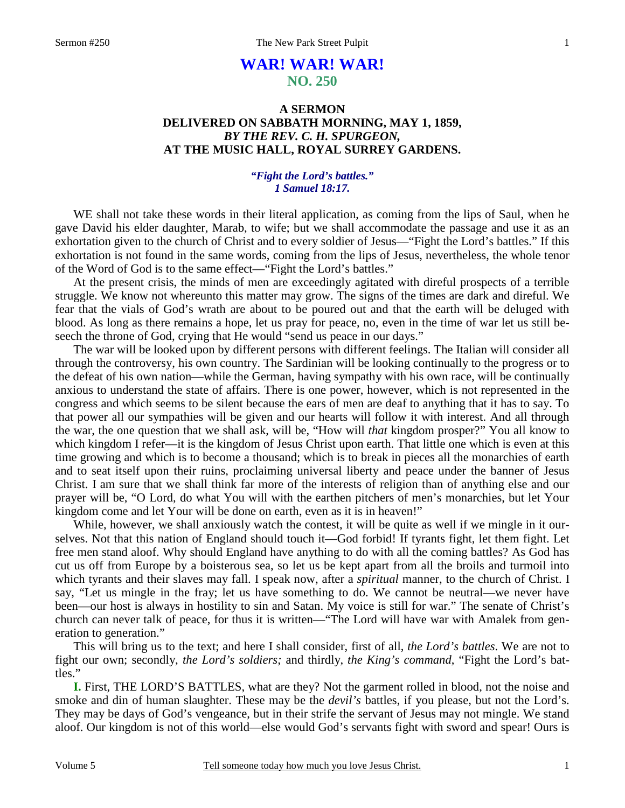## **WAR! WAR! WAR! NO. 250**

## **A SERMON DELIVERED ON SABBATH MORNING, MAY 1, 1859,**  *BY THE REV. C. H. SPURGEON,*  **AT THE MUSIC HALL, ROYAL SURREY GARDENS.**

## *"Fight the Lord's battles." 1 Samuel 18:17.*

WE shall not take these words in their literal application, as coming from the lips of Saul, when he gave David his elder daughter, Marab, to wife; but we shall accommodate the passage and use it as an exhortation given to the church of Christ and to every soldier of Jesus—"Fight the Lord's battles." If this exhortation is not found in the same words, coming from the lips of Jesus, nevertheless, the whole tenor of the Word of God is to the same effect—"Fight the Lord's battles."

At the present crisis, the minds of men are exceedingly agitated with direful prospects of a terrible struggle. We know not whereunto this matter may grow. The signs of the times are dark and direful. We fear that the vials of God's wrath are about to be poured out and that the earth will be deluged with blood. As long as there remains a hope, let us pray for peace, no, even in the time of war let us still beseech the throne of God, crying that He would "send us peace in our days."

The war will be looked upon by different persons with different feelings. The Italian will consider all through the controversy, his own country. The Sardinian will be looking continually to the progress or to the defeat of his own nation—while the German, having sympathy with his own race, will be continually anxious to understand the state of affairs. There is one power, however, which is not represented in the congress and which seems to be silent because the ears of men are deaf to anything that it has to say. To that power all our sympathies will be given and our hearts will follow it with interest. And all through the war, the one question that we shall ask, will be, "How will *that* kingdom prosper?" You all know to which kingdom I refer—it is the kingdom of Jesus Christ upon earth. That little one which is even at this time growing and which is to become a thousand; which is to break in pieces all the monarchies of earth and to seat itself upon their ruins, proclaiming universal liberty and peace under the banner of Jesus Christ. I am sure that we shall think far more of the interests of religion than of anything else and our prayer will be, "O Lord, do what You will with the earthen pitchers of men's monarchies, but let Your kingdom come and let Your will be done on earth, even as it is in heaven!"

While, however, we shall anxiously watch the contest, it will be quite as well if we mingle in it ourselves. Not that this nation of England should touch it—God forbid! If tyrants fight, let them fight. Let free men stand aloof. Why should England have anything to do with all the coming battles? As God has cut us off from Europe by a boisterous sea, so let us be kept apart from all the broils and turmoil into which tyrants and their slaves may fall. I speak now, after a *spiritual* manner, to the church of Christ. I say, "Let us mingle in the fray; let us have something to do. We cannot be neutral—we never have been—our host is always in hostility to sin and Satan. My voice is still for war." The senate of Christ's church can never talk of peace, for thus it is written—"The Lord will have war with Amalek from generation to generation."

This will bring us to the text; and here I shall consider, first of all, *the Lord's battles*. We are not to fight our own; secondly, *the Lord's soldiers;* and thirdly, *the King's command*, "Fight the Lord's battles."

**I.** First, THE LORD'S BATTLES, what are they? Not the garment rolled in blood, not the noise and smoke and din of human slaughter. These may be the *devil's* battles, if you please, but not the Lord's. They may be days of God's vengeance, but in their strife the servant of Jesus may not mingle. We stand aloof. Our kingdom is not of this world—else would God's servants fight with sword and spear! Ours is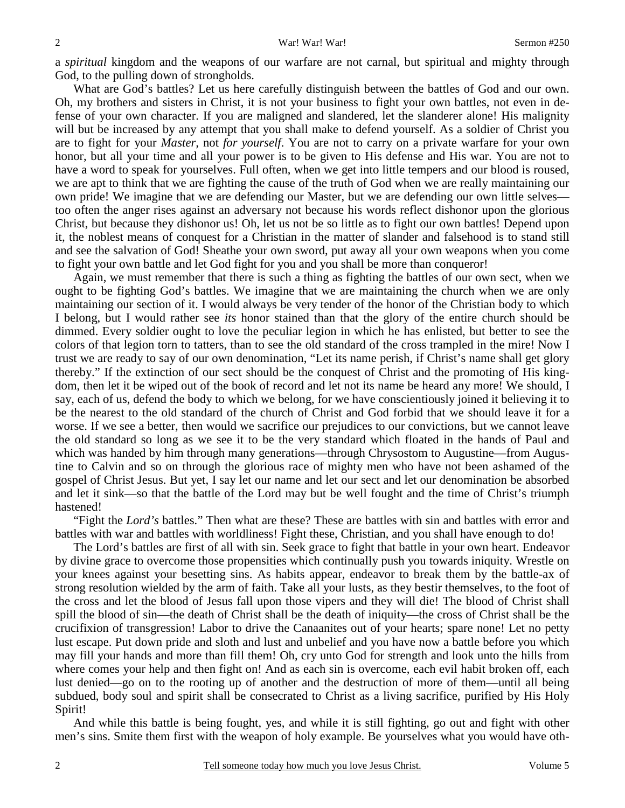a *spiritual* kingdom and the weapons of our warfare are not carnal, but spiritual and mighty through God, to the pulling down of strongholds.

What are God's battles? Let us here carefully distinguish between the battles of God and our own. Oh, my brothers and sisters in Christ, it is not your business to fight your own battles, not even in defense of your own character. If you are maligned and slandered, let the slanderer alone! His malignity will but be increased by any attempt that you shall make to defend yourself. As a soldier of Christ you are to fight for your *Master,* not *for yourself*. You are not to carry on a private warfare for your own honor, but all your time and all your power is to be given to His defense and His war. You are not to have a word to speak for yourselves. Full often, when we get into little tempers and our blood is roused, we are apt to think that we are fighting the cause of the truth of God when we are really maintaining our own pride! We imagine that we are defending our Master, but we are defending our own little selves too often the anger rises against an adversary not because his words reflect dishonor upon the glorious Christ, but because they dishonor us! Oh, let us not be so little as to fight our own battles! Depend upon it, the noblest means of conquest for a Christian in the matter of slander and falsehood is to stand still and see the salvation of God! Sheathe your own sword, put away all your own weapons when you come to fight your own battle and let God fight for you and you shall be more than conqueror!

Again, we must remember that there is such a thing as fighting the battles of our own sect, when we ought to be fighting God's battles. We imagine that we are maintaining the church when we are only maintaining our section of it. I would always be very tender of the honor of the Christian body to which I belong, but I would rather see *its* honor stained than that the glory of the entire church should be dimmed. Every soldier ought to love the peculiar legion in which he has enlisted, but better to see the colors of that legion torn to tatters, than to see the old standard of the cross trampled in the mire! Now I trust we are ready to say of our own denomination, "Let its name perish, if Christ's name shall get glory thereby." If the extinction of our sect should be the conquest of Christ and the promoting of His kingdom, then let it be wiped out of the book of record and let not its name be heard any more! We should, I say, each of us, defend the body to which we belong, for we have conscientiously joined it believing it to be the nearest to the old standard of the church of Christ and God forbid that we should leave it for a worse. If we see a better, then would we sacrifice our prejudices to our convictions, but we cannot leave the old standard so long as we see it to be the very standard which floated in the hands of Paul and which was handed by him through many generations—through Chrysostom to Augustine—from Augustine to Calvin and so on through the glorious race of mighty men who have not been ashamed of the gospel of Christ Jesus. But yet, I say let our name and let our sect and let our denomination be absorbed and let it sink—so that the battle of the Lord may but be well fought and the time of Christ's triumph hastened!

"Fight the *Lord's* battles." Then what are these? These are battles with sin and battles with error and battles with war and battles with worldliness! Fight these, Christian, and you shall have enough to do!

The Lord's battles are first of all with sin. Seek grace to fight that battle in your own heart. Endeavor by divine grace to overcome those propensities which continually push you towards iniquity. Wrestle on your knees against your besetting sins. As habits appear, endeavor to break them by the battle-ax of strong resolution wielded by the arm of faith. Take all your lusts, as they bestir themselves, to the foot of the cross and let the blood of Jesus fall upon those vipers and they will die! The blood of Christ shall spill the blood of sin—the death of Christ shall be the death of iniquity—the cross of Christ shall be the crucifixion of transgression! Labor to drive the Canaanites out of your hearts; spare none! Let no petty lust escape. Put down pride and sloth and lust and unbelief and you have now a battle before you which may fill your hands and more than fill them! Oh, cry unto God for strength and look unto the hills from where comes your help and then fight on! And as each sin is overcome, each evil habit broken off, each lust denied—go on to the rooting up of another and the destruction of more of them—until all being subdued, body soul and spirit shall be consecrated to Christ as a living sacrifice, purified by His Holy Spirit!

And while this battle is being fought, yes, and while it is still fighting, go out and fight with other men's sins. Smite them first with the weapon of holy example. Be yourselves what you would have oth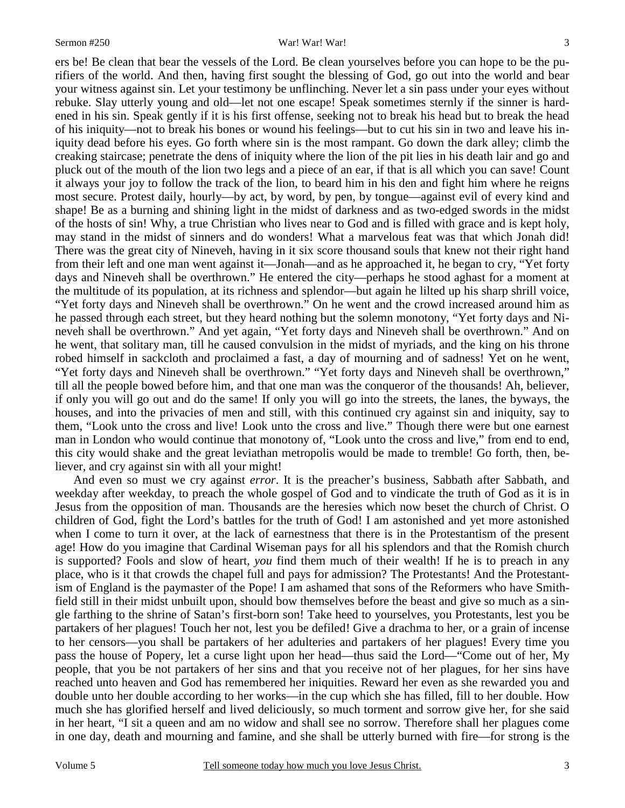ers be! Be clean that bear the vessels of the Lord. Be clean yourselves before you can hope to be the purifiers of the world. And then, having first sought the blessing of God, go out into the world and bear your witness against sin. Let your testimony be unflinching. Never let a sin pass under your eyes without rebuke. Slay utterly young and old—let not one escape! Speak sometimes sternly if the sinner is hardened in his sin. Speak gently if it is his first offense, seeking not to break his head but to break the head of his iniquity—not to break his bones or wound his feelings—but to cut his sin in two and leave his iniquity dead before his eyes. Go forth where sin is the most rampant. Go down the dark alley; climb the creaking staircase; penetrate the dens of iniquity where the lion of the pit lies in his death lair and go and pluck out of the mouth of the lion two legs and a piece of an ear, if that is all which you can save! Count it always your joy to follow the track of the lion, to beard him in his den and fight him where he reigns most secure. Protest daily, hourly—by act, by word, by pen, by tongue—against evil of every kind and shape! Be as a burning and shining light in the midst of darkness and as two-edged swords in the midst of the hosts of sin! Why, a true Christian who lives near to God and is filled with grace and is kept holy, may stand in the midst of sinners and do wonders! What a marvelous feat was that which Jonah did! There was the great city of Nineveh, having in it six score thousand souls that knew not their right hand from their left and one man went against it—Jonah—and as he approached it, he began to cry, "Yet forty days and Nineveh shall be overthrown." He entered the city—perhaps he stood aghast for a moment at the multitude of its population, at its richness and splendor—but again he lilted up his sharp shrill voice, "Yet forty days and Nineveh shall be overthrown." On he went and the crowd increased around him as he passed through each street, but they heard nothing but the solemn monotony, "Yet forty days and Nineveh shall be overthrown." And yet again, "Yet forty days and Nineveh shall be overthrown." And on he went, that solitary man, till he caused convulsion in the midst of myriads, and the king on his throne robed himself in sackcloth and proclaimed a fast, a day of mourning and of sadness! Yet on he went, "Yet forty days and Nineveh shall be overthrown." "Yet forty days and Nineveh shall be overthrown," till all the people bowed before him, and that one man was the conqueror of the thousands! Ah, believer, if only you will go out and do the same! If only you will go into the streets, the lanes, the byways, the houses, and into the privacies of men and still, with this continued cry against sin and iniquity, say to them, "Look unto the cross and live! Look unto the cross and live." Though there were but one earnest man in London who would continue that monotony of, "Look unto the cross and live," from end to end, this city would shake and the great leviathan metropolis would be made to tremble! Go forth, then, believer, and cry against sin with all your might!

And even so must we cry against *error*. It is the preacher's business, Sabbath after Sabbath, and weekday after weekday, to preach the whole gospel of God and to vindicate the truth of God as it is in Jesus from the opposition of man. Thousands are the heresies which now beset the church of Christ. O children of God, fight the Lord's battles for the truth of God! I am astonished and yet more astonished when I come to turn it over, at the lack of earnestness that there is in the Protestantism of the present age! How do you imagine that Cardinal Wiseman pays for all his splendors and that the Romish church is supported? Fools and slow of heart, *you* find them much of their wealth! If he is to preach in any place, who is it that crowds the chapel full and pays for admission? The Protestants! And the Protestantism of England is the paymaster of the Pope! I am ashamed that sons of the Reformers who have Smithfield still in their midst unbuilt upon, should bow themselves before the beast and give so much as a single farthing to the shrine of Satan's first-born son! Take heed to yourselves, you Protestants, lest you be partakers of her plagues! Touch her not, lest you be defiled! Give a drachma to her, or a grain of incense to her censors—you shall be partakers of her adulteries and partakers of her plagues! Every time you pass the house of Popery, let a curse light upon her head—thus said the Lord—"Come out of her, My people, that you be not partakers of her sins and that you receive not of her plagues, for her sins have reached unto heaven and God has remembered her iniquities. Reward her even as she rewarded you and double unto her double according to her works—in the cup which she has filled, fill to her double. How much she has glorified herself and lived deliciously, so much torment and sorrow give her, for she said in her heart, "I sit a queen and am no widow and shall see no sorrow. Therefore shall her plagues come in one day, death and mourning and famine, and she shall be utterly burned with fire—for strong is the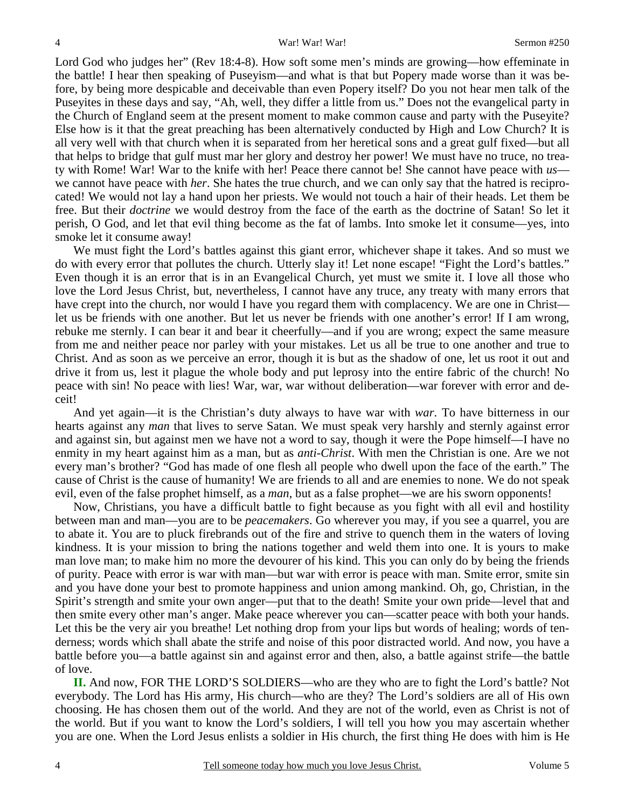Lord God who judges her" (Rev 18:4-8). How soft some men's minds are growing—how effeminate in the battle! I hear then speaking of Puseyism—and what is that but Popery made worse than it was before, by being more despicable and deceivable than even Popery itself? Do you not hear men talk of the Puseyites in these days and say, "Ah, well, they differ a little from us." Does not the evangelical party in the Church of England seem at the present moment to make common cause and party with the Puseyite? Else how is it that the great preaching has been alternatively conducted by High and Low Church? It is all very well with that church when it is separated from her heretical sons and a great gulf fixed—but all that helps to bridge that gulf must mar her glory and destroy her power! We must have no truce, no treaty with Rome! War! War to the knife with her! Peace there cannot be! She cannot have peace with *us* we cannot have peace with *her*. She hates the true church, and we can only say that the hatred is reciprocated! We would not lay a hand upon her priests. We would not touch a hair of their heads. Let them be free. But their *doctrine* we would destroy from the face of the earth as the doctrine of Satan! So let it perish, O God, and let that evil thing become as the fat of lambs. Into smoke let it consume—yes, into smoke let it consume away!

We must fight the Lord's battles against this giant error, whichever shape it takes. And so must we do with every error that pollutes the church. Utterly slay it! Let none escape! "Fight the Lord's battles." Even though it is an error that is in an Evangelical Church, yet must we smite it. I love all those who love the Lord Jesus Christ, but, nevertheless, I cannot have any truce, any treaty with many errors that have crept into the church, nor would I have you regard them with complacency. We are one in Christ let us be friends with one another. But let us never be friends with one another's error! If I am wrong, rebuke me sternly. I can bear it and bear it cheerfully—and if you are wrong; expect the same measure from me and neither peace nor parley with your mistakes. Let us all be true to one another and true to Christ. And as soon as we perceive an error, though it is but as the shadow of one, let us root it out and drive it from us, lest it plague the whole body and put leprosy into the entire fabric of the church! No peace with sin! No peace with lies! War, war, war without deliberation—war forever with error and deceit!

And yet again—it is the Christian's duty always to have war with *war*. To have bitterness in our hearts against any *man* that lives to serve Satan. We must speak very harshly and sternly against error and against sin, but against men we have not a word to say, though it were the Pope himself—I have no enmity in my heart against him as a man, but as *anti-Christ*. With men the Christian is one. Are we not every man's brother? "God has made of one flesh all people who dwell upon the face of the earth." The cause of Christ is the cause of humanity! We are friends to all and are enemies to none. We do not speak evil, even of the false prophet himself, as a *man*, but as a false prophet—we are his sworn opponents!

Now, Christians, you have a difficult battle to fight because as you fight with all evil and hostility between man and man—you are to be *peacemakers*. Go wherever you may, if you see a quarrel, you are to abate it. You are to pluck firebrands out of the fire and strive to quench them in the waters of loving kindness. It is your mission to bring the nations together and weld them into one. It is yours to make man love man; to make him no more the devourer of his kind. This you can only do by being the friends of purity. Peace with error is war with man—but war with error is peace with man. Smite error, smite sin and you have done your best to promote happiness and union among mankind. Oh, go, Christian, in the Spirit's strength and smite your own anger—put that to the death! Smite your own pride—level that and then smite every other man's anger. Make peace wherever you can—scatter peace with both your hands. Let this be the very air you breathe! Let nothing drop from your lips but words of healing; words of tenderness; words which shall abate the strife and noise of this poor distracted world. And now, you have a battle before you—a battle against sin and against error and then, also, a battle against strife—the battle of love.

**II.** And now, FOR THE LORD'S SOLDIERS—who are they who are to fight the Lord's battle? Not everybody. The Lord has His army, His church—who are they? The Lord's soldiers are all of His own choosing. He has chosen them out of the world. And they are not of the world, even as Christ is not of the world. But if you want to know the Lord's soldiers, I will tell you how you may ascertain whether you are one. When the Lord Jesus enlists a soldier in His church, the first thing He does with him is He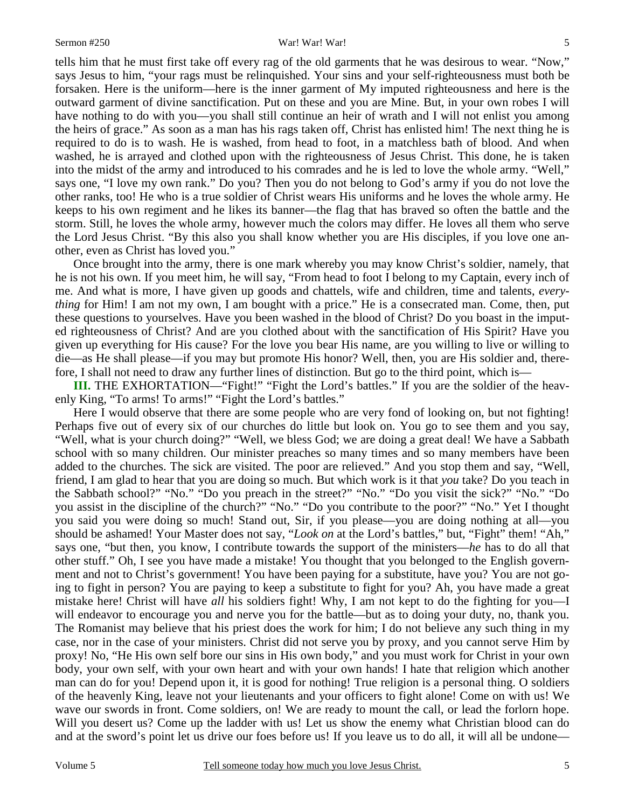tells him that he must first take off every rag of the old garments that he was desirous to wear. "Now," says Jesus to him, "your rags must be relinquished. Your sins and your self-righteousness must both be forsaken. Here is the uniform—here is the inner garment of My imputed righteousness and here is the outward garment of divine sanctification. Put on these and you are Mine. But, in your own robes I will have nothing to do with you—you shall still continue an heir of wrath and I will not enlist you among the heirs of grace." As soon as a man has his rags taken off, Christ has enlisted him! The next thing he is required to do is to wash. He is washed, from head to foot, in a matchless bath of blood. And when washed, he is arrayed and clothed upon with the righteousness of Jesus Christ. This done, he is taken into the midst of the army and introduced to his comrades and he is led to love the whole army. "Well," says one, "I love my own rank." Do you? Then you do not belong to God's army if you do not love the other ranks, too! He who is a true soldier of Christ wears His uniforms and he loves the whole army. He keeps to his own regiment and he likes its banner—the flag that has braved so often the battle and the storm. Still, he loves the whole army, however much the colors may differ. He loves all them who serve the Lord Jesus Christ. "By this also you shall know whether you are His disciples, if you love one another, even as Christ has loved you."

Once brought into the army, there is one mark whereby you may know Christ's soldier, namely, that he is not his own. If you meet him, he will say, "From head to foot I belong to my Captain, every inch of me. And what is more, I have given up goods and chattels, wife and children, time and talents, *everything* for Him! I am not my own, I am bought with a price." He is a consecrated man. Come, then, put these questions to yourselves. Have you been washed in the blood of Christ? Do you boast in the imputed righteousness of Christ? And are you clothed about with the sanctification of His Spirit? Have you given up everything for His cause? For the love you bear His name, are you willing to live or willing to die—as He shall please—if you may but promote His honor? Well, then, you are His soldier and, therefore, I shall not need to draw any further lines of distinction. But go to the third point, which is—

**III.** THE EXHORTATION—"Fight!" "Fight the Lord's battles." If you are the soldier of the heavenly King, "To arms! To arms!" "Fight the Lord's battles."

Here I would observe that there are some people who are very fond of looking on, but not fighting! Perhaps five out of every six of our churches do little but look on. You go to see them and you say, "Well, what is your church doing?" "Well, we bless God; we are doing a great deal! We have a Sabbath school with so many children. Our minister preaches so many times and so many members have been added to the churches. The sick are visited. The poor are relieved." And you stop them and say, "Well, friend, I am glad to hear that you are doing so much. But which work is it that *you* take? Do you teach in the Sabbath school?" "No." "Do you preach in the street?" "No." "Do you visit the sick?" "No." "Do you assist in the discipline of the church?" "No." "Do you contribute to the poor?" "No." Yet I thought you said you were doing so much! Stand out, Sir, if you please—you are doing nothing at all—you should be ashamed! Your Master does not say, "*Look on* at the Lord's battles," but, "Fight" them! "Ah," says one, "but then, you know, I contribute towards the support of the ministers—*he* has to do all that other stuff." Oh, I see you have made a mistake! You thought that you belonged to the English government and not to Christ's government! You have been paying for a substitute, have you? You are not going to fight in person? You are paying to keep a substitute to fight for you? Ah, you have made a great mistake here! Christ will have *all* his soldiers fight! Why, I am not kept to do the fighting for you—I will endeavor to encourage you and nerve you for the battle—but as to doing your duty, no, thank you. The Romanist may believe that his priest does the work for him; I do not believe any such thing in my case, nor in the case of your ministers. Christ did not serve you by proxy, and you cannot serve Him by proxy! No, "He His own self bore our sins in His own body," and you must work for Christ in your own body, your own self, with your own heart and with your own hands! I hate that religion which another man can do for you! Depend upon it, it is good for nothing! True religion is a personal thing. O soldiers of the heavenly King, leave not your lieutenants and your officers to fight alone! Come on with us! We wave our swords in front. Come soldiers, on! We are ready to mount the call, or lead the forlorn hope. Will you desert us? Come up the ladder with us! Let us show the enemy what Christian blood can do and at the sword's point let us drive our foes before us! If you leave us to do all, it will all be undone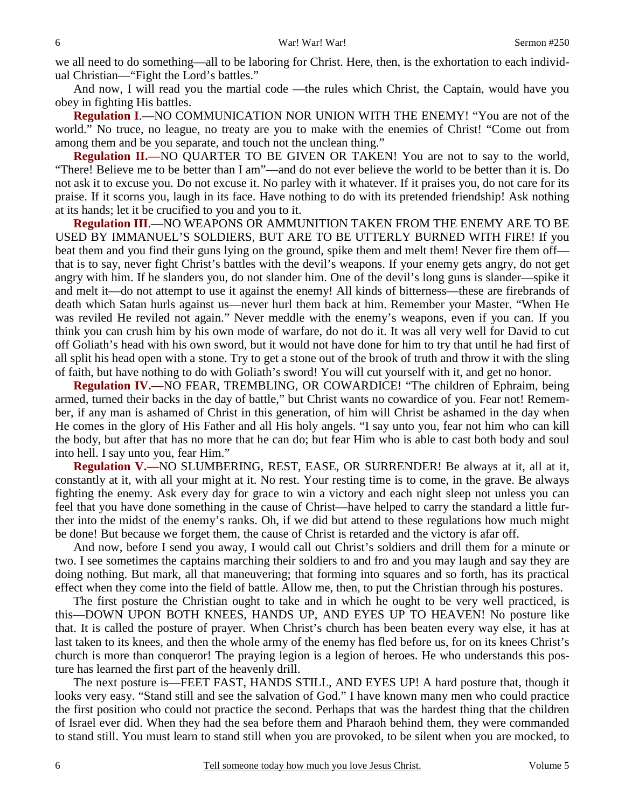we all need to do something—all to be laboring for Christ. Here, then, is the exhortation to each individual Christian—"Fight the Lord's battles."

And now, I will read you the martial code —the rules which Christ, the Captain, would have you obey in fighting His battles.

**Regulation I**.—NO COMMUNICATION NOR UNION WITH THE ENEMY! "You are not of the world." No truce, no league, no treaty are you to make with the enemies of Christ! "Come out from among them and be you separate, and touch not the unclean thing."

**Regulation II.—**NO QUARTER TO BE GIVEN OR TAKEN! You are not to say to the world, "There! Believe me to be better than I am"—and do not ever believe the world to be better than it is. Do not ask it to excuse you. Do not excuse it. No parley with it whatever. If it praises you, do not care for its praise. If it scorns you, laugh in its face. Have nothing to do with its pretended friendship! Ask nothing at its hands; let it be crucified to you and you to it.

**Regulation III**.—NO WEAPONS OR AMMUNITION TAKEN FROM THE ENEMY ARE TO BE USED BY IMMANUEL'S SOLDIERS, BUT ARE TO BE UTTERLY BURNED WITH FIRE! If you beat them and you find their guns lying on the ground, spike them and melt them! Never fire them off that is to say, never fight Christ's battles with the devil's weapons. If your enemy gets angry, do not get angry with him. If he slanders you, do not slander him. One of the devil's long guns is slander—spike it and melt it—do not attempt to use it against the enemy! All kinds of bitterness—these are firebrands of death which Satan hurls against us—never hurl them back at him. Remember your Master. "When He was reviled He reviled not again." Never meddle with the enemy's weapons, even if you can. If you think you can crush him by his own mode of warfare, do not do it. It was all very well for David to cut off Goliath's head with his own sword, but it would not have done for him to try that until he had first of all split his head open with a stone. Try to get a stone out of the brook of truth and throw it with the sling of faith, but have nothing to do with Goliath's sword! You will cut yourself with it, and get no honor.

**Regulation IV.—**NO FEAR, TREMBLING, OR COWARDICE! "The children of Ephraim, being armed, turned their backs in the day of battle," but Christ wants no cowardice of you. Fear not! Remember, if any man is ashamed of Christ in this generation, of him will Christ be ashamed in the day when He comes in the glory of His Father and all His holy angels. "I say unto you, fear not him who can kill the body, but after that has no more that he can do; but fear Him who is able to cast both body and soul into hell. I say unto you, fear Him."

**Regulation V.—**NO SLUMBERING, REST, EASE, OR SURRENDER! Be always at it, all at it, constantly at it, with all your might at it. No rest. Your resting time is to come, in the grave. Be always fighting the enemy. Ask every day for grace to win a victory and each night sleep not unless you can feel that you have done something in the cause of Christ—have helped to carry the standard a little further into the midst of the enemy's ranks. Oh, if we did but attend to these regulations how much might be done! But because we forget them, the cause of Christ is retarded and the victory is afar off.

And now, before I send you away, I would call out Christ's soldiers and drill them for a minute or two. I see sometimes the captains marching their soldiers to and fro and you may laugh and say they are doing nothing. But mark, all that maneuvering; that forming into squares and so forth, has its practical effect when they come into the field of battle. Allow me, then, to put the Christian through his postures.

The first posture the Christian ought to take and in which he ought to be very well practiced, is this—DOWN UPON BOTH KNEES, HANDS UP, AND EYES UP TO HEAVEN! No posture like that. It is called the posture of prayer. When Christ's church has been beaten every way else, it has at last taken to its knees, and then the whole army of the enemy has fled before us, for on its knees Christ's church is more than conqueror! The praying legion is a legion of heroes. He who understands this posture has learned the first part of the heavenly drill.

The next posture is—FEET FAST, HANDS STILL, AND EYES UP! A hard posture that, though it looks very easy. "Stand still and see the salvation of God." I have known many men who could practice the first position who could not practice the second. Perhaps that was the hardest thing that the children of Israel ever did. When they had the sea before them and Pharaoh behind them, they were commanded to stand still. You must learn to stand still when you are provoked, to be silent when you are mocked, to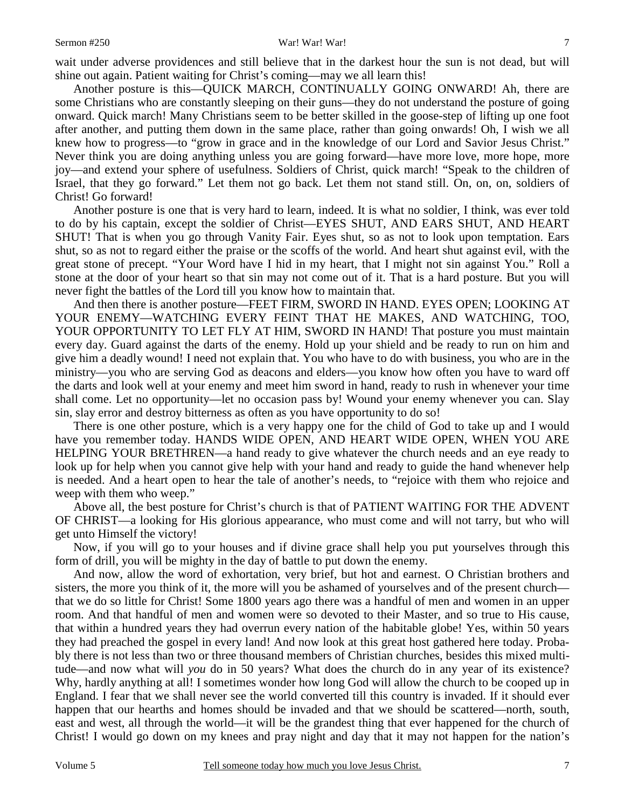Another posture is this—QUICK MARCH, CONTINUALLY GOING ONWARD! Ah, there are some Christians who are constantly sleeping on their guns—they do not understand the posture of going onward. Quick march! Many Christians seem to be better skilled in the goose-step of lifting up one foot after another, and putting them down in the same place, rather than going onwards! Oh, I wish we all knew how to progress—to "grow in grace and in the knowledge of our Lord and Savior Jesus Christ." Never think you are doing anything unless you are going forward—have more love, more hope, more joy—and extend your sphere of usefulness. Soldiers of Christ, quick march! "Speak to the children of Israel, that they go forward." Let them not go back. Let them not stand still. On, on, on, soldiers of Christ! Go forward!

Another posture is one that is very hard to learn, indeed. It is what no soldier, I think, was ever told to do by his captain, except the soldier of Christ—EYES SHUT, AND EARS SHUT, AND HEART SHUT! That is when you go through Vanity Fair. Eyes shut, so as not to look upon temptation. Ears shut, so as not to regard either the praise or the scoffs of the world. And heart shut against evil, with the great stone of precept. "Your Word have I hid in my heart, that I might not sin against You." Roll a stone at the door of your heart so that sin may not come out of it. That is a hard posture. But you will never fight the battles of the Lord till you know how to maintain that.

And then there is another posture—FEET FIRM, SWORD IN HAND. EYES OPEN; LOOKING AT YOUR ENEMY—WATCHING EVERY FEINT THAT HE MAKES, AND WATCHING, TOO, YOUR OPPORTUNITY TO LET FLY AT HIM, SWORD IN HAND! That posture you must maintain every day. Guard against the darts of the enemy. Hold up your shield and be ready to run on him and give him a deadly wound! I need not explain that. You who have to do with business, you who are in the ministry—you who are serving God as deacons and elders—you know how often you have to ward off the darts and look well at your enemy and meet him sword in hand, ready to rush in whenever your time shall come. Let no opportunity—let no occasion pass by! Wound your enemy whenever you can. Slay sin, slay error and destroy bitterness as often as you have opportunity to do so!

There is one other posture, which is a very happy one for the child of God to take up and I would have you remember today. HANDS WIDE OPEN, AND HEART WIDE OPEN, WHEN YOU ARE HELPING YOUR BRETHREN—a hand ready to give whatever the church needs and an eye ready to look up for help when you cannot give help with your hand and ready to guide the hand whenever help is needed. And a heart open to hear the tale of another's needs, to "rejoice with them who rejoice and weep with them who weep."

Above all, the best posture for Christ's church is that of PATIENT WAITING FOR THE ADVENT OF CHRIST—a looking for His glorious appearance, who must come and will not tarry, but who will get unto Himself the victory!

Now, if you will go to your houses and if divine grace shall help you put yourselves through this form of drill, you will be mighty in the day of battle to put down the enemy.

And now, allow the word of exhortation, very brief, but hot and earnest. O Christian brothers and sisters, the more you think of it, the more will you be ashamed of yourselves and of the present church that we do so little for Christ! Some 1800 years ago there was a handful of men and women in an upper room. And that handful of men and women were so devoted to their Master, and so true to His cause, that within a hundred years they had overrun every nation of the habitable globe! Yes, within 50 years they had preached the gospel in every land! And now look at this great host gathered here today. Probably there is not less than two or three thousand members of Christian churches, besides this mixed multitude—and now what will *you* do in 50 years? What does the church do in any year of its existence? Why, hardly anything at all! I sometimes wonder how long God will allow the church to be cooped up in England. I fear that we shall never see the world converted till this country is invaded. If it should ever happen that our hearths and homes should be invaded and that we should be scattered—north, south, east and west, all through the world—it will be the grandest thing that ever happened for the church of Christ! I would go down on my knees and pray night and day that it may not happen for the nation's